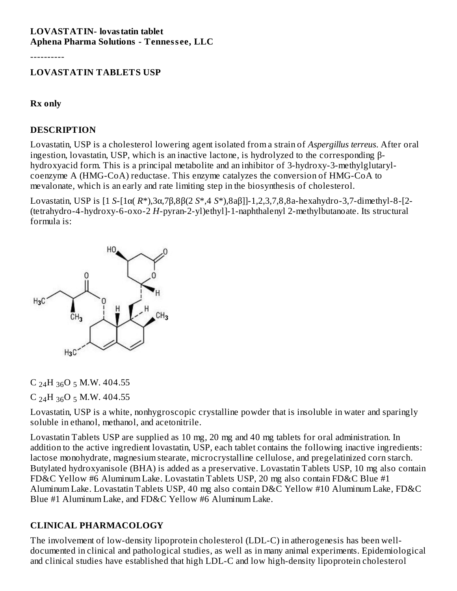#### **LOVASTATIN- lovastatin tablet Aphena Pharma Solutions - Tenness ee, LLC**

----------

#### **LOVASTATIN TABLETS USP**

#### **Rx only**

#### **DESCRIPTION**

Lovastatin, USP is a cholesterol lowering agent isolated from a strain of *Aspergillus terreus*. After oral ingestion, lovastatin, USP, which is an inactive lactone, is hydrolyzed to the corresponding βhydroxyacid form. This is a principal metabolite and an inhibitor of 3-hydroxy-3-methylglutarylcoenzyme A (HMG-CoA) reductase. This enzyme catalyzes the conversion of HMG-CoA to mevalonate, which is an early and rate limiting step in the biosynthesis of cholesterol.

Lovastatin, USP is [1 *S*-[1α( *R*\*),3α,7β,8β(2 *S*\*,4 *S*\*),8aβ]]-1,2,3,7,8,8a-hexahydro-3,7-dimethyl-8-[2- (tetrahydro-4-hydroxy-6-oxo-2 *H*-pyran-2-yl)ethyl]-1-naphthalenyl 2-methylbutanoate. Its structural formula is:



C  $_{24}$ H  $_{36}$ O 5 M.W. 404.55

C <sub>24</sub>H <sub>36</sub>O <sub>5</sub> M.W. 404.55

Lovastatin, USP is a white, nonhygroscopic crystalline powder that is insoluble in water and sparingly soluble in ethanol, methanol, and acetonitrile.

Lovastatin Tablets USP are supplied as 10 mg, 20 mg and 40 mg tablets for oral administration. In addition to the active ingredient lovastatin, USP, each tablet contains the following inactive ingredients: lactose monohydrate, magnesium stearate, microcrystalline cellulose, and pregelatinized corn starch. Butylated hydroxyanisole (BHA) is added as a preservative. Lovastatin Tablets USP, 10 mg also contain FD&C Yellow #6 Aluminum Lake. Lovastatin Tablets USP, 20 mg also contain FD&C Blue #1 Aluminum Lake. Lovastatin Tablets USP, 40 mg also contain D&C Yellow #10 Aluminum Lake, FD&C Blue #1 Aluminum Lake, and FD&C Yellow #6 Aluminum Lake.

# **CLINICAL PHARMACOLOGY**

The involvement of low-density lipoprotein cholesterol (LDL-C) in atherogenesis has been welldocumented in clinical and pathological studies, as well as in many animal experiments. Epidemiological and clinical studies have established that high LDL-C and low high-density lipoprotein cholesterol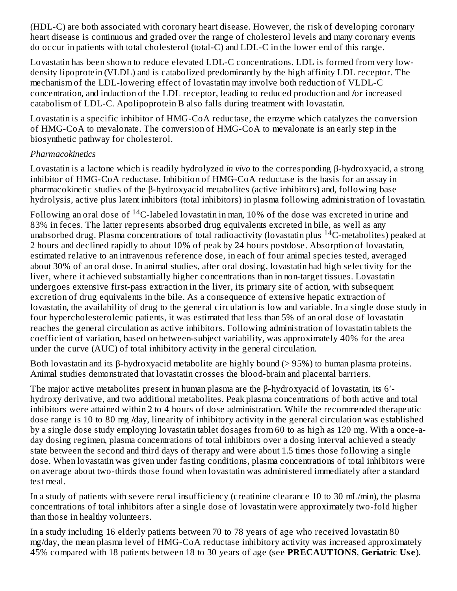(HDL-C) are both associated with coronary heart disease. However, the risk of developing coronary heart disease is continuous and graded over the range of cholesterol levels and many coronary events do occur in patients with total cholesterol (total-C) and LDL-C in the lower end of this range.

Lovastatin has been shown to reduce elevated LDL-C concentrations. LDL is formed from very lowdensity lipoprotein (VLDL) and is catabolized predominantly by the high affinity LDL receptor. The mechanism of the LDL-lowering effect of lovastatin may involve both reduction of VLDL-C concentration, and induction of the LDL receptor, leading to reduced production and **/**or increased catabolism of LDL-C. Apolipoprotein B also falls during treatment with lovastatin.

Lovastatin is a specific inhibitor of HMG-CoA reductase, the enzyme which catalyzes the conversion of HMG-CoA to mevalonate. The conversion of HMG-CoA to mevalonate is an early step in the biosynthetic pathway for cholesterol.

#### *Pharmacokinetics*

Lovastatin is a lactone which is readily hydrolyzed *in vivo* to the corresponding β-hydroxyacid, a strong inhibitor of HMG-CoA reductase. Inhibition of HMG-CoA reductase is the basis for an assay in pharmacokinetic studies of the β-hydroxyacid metabolites (active inhibitors) and, following base hydrolysis, active plus latent inhibitors (total inhibitors) in plasma following administration of lovastatin.

Following an oral dose of  $\rm ^{14}C$ -labeled lovastatin in man, 10% of the dose was excreted in urine and 83% in feces. The latter represents absorbed drug equivalents excreted in bile, as well as any unabsorbed drug. Plasma concentrations of total radioactivity (lovastatin plus  $^{14}$ C-metabolites) peaked at 2 hours and declined rapidly to about 10% of peak by 24 hours postdose. Absorption of lovastatin, estimated relative to an intravenous reference dose, in each of four animal species tested, averaged about 30% of an oral dose. In animal studies, after oral dosing, lovastatin had high selectivity for the liver, where it achieved substantially higher concentrations than in non-target tissues. Lovastatin undergoes extensive first-pass extraction in the liver, its primary site of action, with subsequent excretion of drug equivalents in the bile. As a consequence of extensive hepatic extraction of lovastatin, the availability of drug to the general circulation is low and variable. In a single dose study in four hypercholesterolemic patients, it was estimated that less than 5% of an oral dose of lovastatin reaches the general circulation as active inhibitors. Following administration of lovastatin tablets the coefficient of variation, based on between-subject variability, was approximately 40% for the area under the curve (AUC) of total inhibitory activity in the general circulation.

Both lovastatin and its β-hydroxyacid metabolite are highly bound (> 95%) to human plasma proteins. Animal studies demonstrated that lovastatin crosses the blood-brain and placental barriers.

The major active metabolites present in human plasma are the β-hydroxyacid of lovastatin, its 6′ hydroxy derivative, and two additional metabolites. Peak plasma concentrations of both active and total inhibitors were attained within 2 to 4 hours of dose administration. While the recommended therapeutic dose range is 10 to 80 mg **/**day, linearity of inhibitory activity in the general circulation was established by a single dose study employing lovastatin tablet dosages from 60 to as high as 120 mg. With a once-aday dosing regimen, plasma concentrations of total inhibitors over a dosing interval achieved a steady state between the second and third days of therapy and were about 1.5 times those following a single dose. When lovastatin was given under fasting conditions, plasma concentrations of total inhibitors were on average about two-thirds those found when lovastatin was administered immediately after a standard test meal.

In a study of patients with severe renal insufficiency (creatinine clearance 10 to 30 mL/min), the plasma concentrations of total inhibitors after a single dose of lovastatin were approximately two-fold higher than those in healthy volunteers.

In a study including 16 elderly patients between 70 to 78 years of age who received lovastatin 80 mg/day, the mean plasma level of HMG-CoA reductase inhibitory activity was increased approximately 45% compared with 18 patients between 18 to 30 years of age (see **PRECAUTIONS**, **Geriatric Us e**).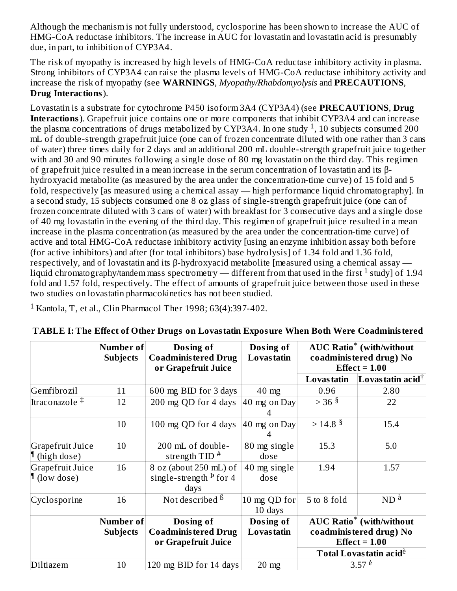Although the mechanism is not fully understood, cyclosporine has been shown to increase the AUC of HMG-CoA reductase inhibitors. The increase in AUC for lovastatin and lovastatin acid is presumably due, in part, to inhibition of CYP3A4.

The risk of myopathy is increased by high levels of HMG-CoA reductase inhibitory activity in plasma. Strong inhibitors of CYP3A4 can raise the plasma levels of HMG-CoA reductase inhibitory activity and increase the risk of myopathy (see **WARNINGS**, *Myopathy/Rhabdomyolysis* and **PRECAUTIONS**, **Drug Interactions**).

Lovastatin is a substrate for cytochrome P450 isoform 3A4 (CYP3A4) (see **PRECAUTIONS**, **Drug Interactions**). Grapefruit juice contains one or more components that inhibit CYP3A4 and can increase the plasma concentrations of drugs metabolized by CYP3A4. In one study <sup>1</sup>, 10 subjects consumed 200 mL of double-strength grapefruit juice (one can of frozen concentrate diluted with one rather than 3 cans of water) three times daily for 2 days and an additional 200 mL double-strength grapefruit juice together with and 30 and 90 minutes following a single dose of 80 mg lovastatin on the third day. This regimen of grapefruit juice resulted in a mean increase in the serum concentration of lovastatin and its βhydroxyacid metabolite (as measured by the area under the concentration-time curve) of 15 fold and 5 fold, respectively [as measured using a chemical assay — high performance liquid chromatography]. In a second study, 15 subjects consumed one 8 oz glass of single-strength grapefruit juice (one can of frozen concentrate diluted with 3 cans of water) with breakfast for 3 consecutive days and a single dose of 40 mg lovastatin in the evening of the third day. This regimen of grapefruit juice resulted in a mean increase in the plasma concentration (as measured by the area under the concentration-time curve) of active and total HMG-CoA reductase inhibitory activity [using an enzyme inhibition assay both before (for active inhibitors) and after (for total inhibitors) base hydrolysis] of 1.34 fold and 1.36 fold, respectively, and of lovastatin and its β-hydroxyacid metabolite [measured using a chemical assay liquid chromatography/tandem mass spectrometry — different from that used in the first  $^1$  study] of 1.94 fold and 1.57 fold, respectively. The effect of amounts of grapefruit juice between those used in these two studies on lovastatin pharmacokinetics has not been studied.

 $1$  Kantola, T, et al., Clin Pharmacol Ther 1998; 63(4):397-402.

|                                            | Number of<br><b>Subjects</b> | Dosing of<br><b>Coadministered Drug</b><br>or Grapefruit Juice        | Dosing of<br>Lovas tatin |                        | <b>AUC Ratio<sup>*</sup></b> (with/without<br>coadministered drug) No<br>Effect $= 1.00$                                             |
|--------------------------------------------|------------------------------|-----------------------------------------------------------------------|--------------------------|------------------------|--------------------------------------------------------------------------------------------------------------------------------------|
|                                            |                              |                                                                       |                          | <b>Lovastatin</b>      | Lovas tatin acid $\dagger$                                                                                                           |
| Gemfibrozil                                | 11                           | 600 mg BID for 3 days                                                 | $40$ mg                  | 0.96                   | 2.80                                                                                                                                 |
| Itraconazole $\ddagger$                    | 12                           | 200 mg QD for 4 days                                                  | $40$ mg on Day           | $>$ 36 $\frac{5}{3}$   | 22                                                                                                                                   |
|                                            | 10                           | 100 mg QD for 4 days                                                  | 40 mg on Day             | $>$ 14.8 $\frac{8}{3}$ | 15.4                                                                                                                                 |
| Grapefruit Juice<br>$\P$ (high dose)       | 10                           | 200 mL of double-<br>strength $TID$ <sup>#</sup>                      | 80 mg single<br>dose     | 15.3                   | 5.0                                                                                                                                  |
| Grapefruit Juice<br>$\parallel$ (low dose) | 16                           | 8 oz (about 250 mL) of<br>single-strength $\frac{p}{q}$ for 4<br>days | 40 mg single<br>dose     | 1.94                   | 1.57                                                                                                                                 |
| Cyclosporine                               | 16                           | Not described <sup>ß</sup>                                            | 10 mg QD for<br>10 days  | 5 to 8 fold            | $ND$ <sup><math>\grave{a}</math></sup>                                                                                               |
|                                            | Number of<br><b>Subjects</b> | Dosing of<br><b>Coadministered Drug</b><br>or Grapefruit Juice        | Dosing of<br>Lovas tatin |                        | <b>AUC Ratio<sup>*</sup></b> (with/without<br>coadministered drug) No<br>Effect $= 1.00$<br><b>Total Lovastatin acid<sup>é</sup></b> |
| Diltiazem                                  | 10                           | 120 mg BID for 14 days                                                | $20 \text{ mg}$          |                        | 3.57 e                                                                                                                               |

|  | TABLE I: The Effect of Other Drugs on Lovastatin Exposure When Both Were Coadministered |  |
|--|-----------------------------------------------------------------------------------------|--|
|  |                                                                                         |  |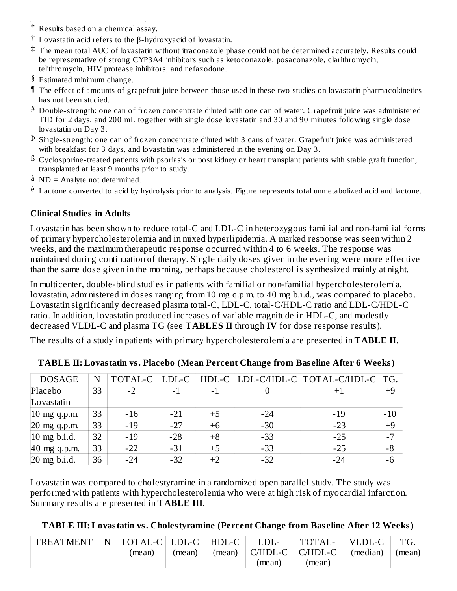- \* Results based on a chemical assay.
- $\dagger$  Lovastatin acid refers to the β-hydroxyacid of lovastatin.
- ‡ The mean total AUC of lovastatin without itraconazole phase could not be determined accurately. Results could be representative of strong CYP3A4 inhibitors such as ketoconazole, posaconazole, clarithromycin, telithromycin, HIV protease inhibitors, and nefazodone.
- § Estimated minimum change.
- ¶ The effect of amounts of grapefruit juice between those used in these two studies on lovastatin pharmacokinetics has not been studied.
- $^\#$  Double-strength: one can of frozen concentrate diluted with one can of water. Grapefruit juice was administered TID for 2 days, and 200 mL together with single dose lovastatin and 30 and 90 minutes following single dose lovastatin on Day 3.
- Þ Single-strength: one can of frozen concentrate diluted with 3 cans of water. Grapefruit juice was administered with breakfast for 3 days, and lovastatin was administered in the evening on Day 3.
- $^{\rm{B}}$  Cyclosporine-treated patients with psoriasis or post kidney or heart transplant patients with stable graft function, transplanted at least 9 months prior to study.
- à ND = Analyte not determined.
- <sup>è</sup> Lactone converted to acid by hydrolysis prior to analysis. Figure represents total unmetabolized acid and lactone.

#### **Clinical Studies in Adults**

Lovastatin has been shown to reduce total-C and LDL-C in heterozygous familial and non-familial forms of primary hypercholesterolemia and in mixed hyperlipidemia. A marked response was seen within 2 weeks, and the maximum therapeutic response occurred within 4 to 6 weeks. The response was maintained during continuation of therapy. Single daily doses given in the evening were more effective than the same dose given in the morning, perhaps because cholesterol is synthesized mainly at night.

In multicenter, double-blind studies in patients with familial or non-familial hypercholesterolemia, lovastatin, administered in doses ranging from 10 mg q.p.m. to 40 mg b.i.d., was compared to placebo. Lovastatin significantly decreased plasma total-C, LDL-C, total-C/HDL-C ratio and LDL-C/HDL-C ratio. In addition, lovastatin produced increases of variable magnitude in HDL-C, and modestly decreased VLDL-C and plasma TG (see **TABLES II** through **IV** for dose response results).

The results of a study in patients with primary hypercholesterolemia are presented in **TABLE II**.

| <b>DOSAGE</b>  | N  | TOTAL-C | LDL-C | $HDL-C$                  |       | LDL-C/HDL-C   TOTAL-C/HDL-C | TG.   |
|----------------|----|---------|-------|--------------------------|-------|-----------------------------|-------|
| Placebo        | 33 | $-2$    | $-1$  | $\overline{\phantom{a}}$ |       |                             | $+9$  |
| Lovastatin     |    |         |       |                          |       |                             |       |
| $10$ mg q.p.m. | 33 | $-16$   | $-21$ | $+5$                     | $-24$ | -19                         | $-10$ |
| $20$ mg q.p.m. | 33 | $-19$   | $-27$ | $+6$                     | $-30$ | $-23$                       | $+9$  |
| $10$ mg b.i.d. | 32 | $-19$   | $-28$ | $+8$                     | $-33$ | $-25$                       | $-7$  |
| $40$ mg q.p.m. | 33 | $-22$   | $-31$ | $+5$                     | $-33$ | $-25$                       | $-8$  |
| $20$ mg b.i.d. | 36 | $-24$   | $-32$ | $+2$                     | $-32$ | $-24$                       | $-6$  |

**TABLE II: Lovastatin vs. Placebo (Mean Percent Change from Bas eline After 6 Weeks)**

Lovastatin was compared to cholestyramine in a randomized open parallel study. The study was performed with patients with hypercholesterolemia who were at high risk of myocardial infarction. Summary results are presented in **TABLE III**.

**TABLE III: Lovastatin vs. Cholestyramine (Percent Change from Bas eline After 12 Weeks)**

| TREATMENT | N  TOTAL-C  LDL-C   HDL-C |        | LDL-   | $\sqrt{10}$ TOTAL- $\sqrt{10}$ | $\mid$ VLDL-C   |        |
|-----------|---------------------------|--------|--------|--------------------------------|-----------------|--------|
|           | (mean)                    | (mean) |        | $(mean)$   C/HDL-C   C/HDL-C   | $\mid$ (median) | (mean) |
|           |                           |        | (mean) | (mean)                         |                 |        |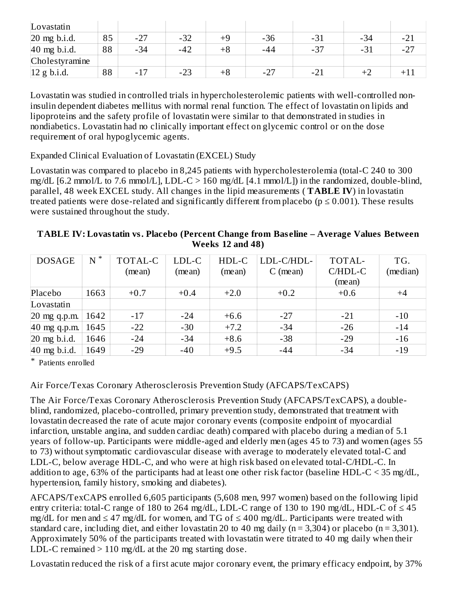| Lovastatin              |    |       |       |    |       |       |       |              |
|-------------------------|----|-------|-------|----|-------|-------|-------|--------------|
| $20$ mg b.i.d.          | 85 | $-27$ | $-32$ |    | $-36$ | $-31$ | $-34$ | $-2^{\circ}$ |
| $40$ mg b.i.d.          | 88 | $-34$ | $-42$ | +8 | -44   | $-37$ | $-31$ | $-27$        |
| Cholestyramine          |    |       |       |    |       |       |       |              |
| $ 12 \text{ g b.i.d.} $ | 88 | $-17$ | $-23$ | +8 | $-27$ | $-21$ |       |              |

Lovastatin was studied in controlled trials in hypercholesterolemic patients with well-controlled noninsulin dependent diabetes mellitus with normal renal function. The effect of lovastatin on lipids and lipoproteins and the safety profile of lovastatin were similar to that demonstrated in studies in nondiabetics. Lovastatin had no clinically important effect on glycemic control or on the dose requirement of oral hypoglycemic agents.

Expanded Clinical Evaluation of Lovastatin (EXCEL) Study

Lovastatin was compared to placebo in 8,245 patients with hypercholesterolemia (total-C 240 to 300 mg/dL  $[6.2 \text{ mmol/L}$  to 7.6 mmol/L], LDL-C > 160 mg/dL  $[4.1 \text{ mmol/L}]$  in the randomized, double-blind, parallel, 48 week EXCEL study. All changes in the lipid measurements ( **TABLE IV**) in lovastatin treated patients were dose-related and significantly different from placebo ( $p \le 0.001$ ). These results were sustained throughout the study.

| TABLE IV: Lovastatin vs. Placebo (Percent Change from Baseline – Average Values Between |
|-----------------------------------------------------------------------------------------|
| <b>Weeks</b> 12 and 48)                                                                 |

| <b>DOSAGE</b>            | $N^*$ | TOTAL-C | LDL-C  | HDL-C  | LDL-C/HDL- | TOTAL-  | TG.      |
|--------------------------|-------|---------|--------|--------|------------|---------|----------|
|                          |       | (mean)  | (mean) | (mean) | $C$ (mean) | C/HDL-C | (median) |
|                          |       |         |        |        |            | (mean)  |          |
| Placebo                  | 1663  | $+0.7$  | $+0.4$ | $+2.0$ | $+0.2$     | $+0.6$  | $+4$     |
| Lovastatin               |       |         |        |        |            |         |          |
| $20$ mg q.p.m.           | 1642  | $-17$   | $-24$  | $+6.6$ | $-27$      | $-21$   | $-10$    |
| $ 40 \text{ mg q.p.m.} $ | 1645  | $-22$   | $-30$  | $+7.2$ | $-34$      | $-26$   | $-14$    |
| $20$ mg b.i.d.           | 1646  | $-24$   | $-34$  | $+8.6$ | $-38$      | $-29$   | $-16$    |
| $40$ mg b.i.d.           | 1649  | $-29$   | $-40$  | $+9.5$ | $-44$      | $-34$   | $-19$    |

\* Patients enrolled

# Air Force/Texas Coronary Atherosclerosis Prevention Study (AFCAPS/TexCAPS)

The Air Force/Texas Coronary Atherosclerosis Prevention Study (AFCAPS/TexCAPS), a doubleblind, randomized, placebo-controlled, primary prevention study, demonstrated that treatment with lovastatin decreased the rate of acute major coronary events (composite endpoint of myocardial infarction, unstable angina, and sudden cardiac death) compared with placebo during a median of 5.1 years of follow-up. Participants were middle-aged and elderly men (ages 45 to 73) and women (ages 55 to 73) without symptomatic cardiovascular disease with average to moderately elevated total-C and LDL-C, below average HDL-C, and who were at high risk based on elevated total-C/HDL-C. In addition to age, 63% of the participants had at least one other risk factor (baseline HDL-C < 35 mg/dL, hypertension, family history, smoking and diabetes).

AFCAPS/TexCAPS enrolled 6,605 participants (5,608 men, 997 women) based on the following lipid entry criteria: total-C range of 180 to 264 mg/dL, LDL-C range of 130 to 190 mg/dL, HDL-C of  $\leq 45$ mg/dL for men and  $\leq 47$  mg/dL for women, and TG of  $\leq 400$  mg/dL. Participants were treated with standard care, including diet, and either lovastatin 20 to 40 mg daily ( $n = 3,304$ ) or placebo ( $n = 3,301$ ). Approximately 50% of the participants treated with lovastatin were titrated to 40 mg daily when their LDL-C remained  $> 110$  mg/dL at the 20 mg starting dose.

Lovastatin reduced the risk of a first acute major coronary event, the primary efficacy endpoint, by 37%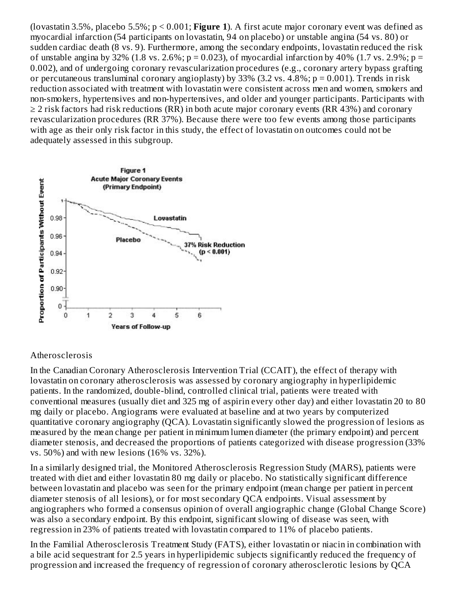(lovastatin 3.5%, placebo 5.5%; p < 0.001; **Figure 1**). A first acute major coronary event was defined as myocardial infarction (54 participants on lovastatin, 94 on placebo) or unstable angina (54 vs. 80) or sudden cardiac death (8 vs. 9). Furthermore, among the secondary endpoints, lovastatin reduced the risk of unstable angina by 32% (1.8 vs. 2.6%;  $p = 0.023$ ), of myocardial infarction by 40% (1.7 vs. 2.9%;  $p =$ 0.002), and of undergoing coronary revascularization procedures (e.g., coronary artery bypass grafting or percutaneous transluminal coronary angioplasty) by  $33\%$  (3.2 vs. 4.8%; p = 0.001). Trends in risk reduction associated with treatment with lovastatin were consistent across men and women, smokers and non-smokers, hypertensives and non-hypertensives, and older and younger participants. Participants with  $\geq$  2 risk factors had risk reductions (RR) in both acute major coronary events (RR 43%) and coronary revascularization procedures (RR 37%). Because there were too few events among those participants with age as their only risk factor in this study, the effect of lovastatin on outcomes could not be adequately assessed in this subgroup.



#### Atherosclerosis

In the Canadian Coronary Atherosclerosis Intervention Trial (CCAIT), the effect of therapy with lovastatin on coronary atherosclerosis was assessed by coronary angiography in hyperlipidemic patients. In the randomized, double-blind, controlled clinical trial, patients were treated with conventional measures (usually diet and 325 mg of aspirin every other day) and either lovastatin 20 to 80 mg daily or placebo. Angiograms were evaluated at baseline and at two years by computerized quantitative coronary angiography (QCA). Lovastatin significantly slowed the progression of lesions as measured by the mean change per patient in minimum lumen diameter (the primary endpoint) and percent diameter stenosis, and decreased the proportions of patients categorized with disease progression (33% vs. 50%) and with new lesions (16% vs. 32%).

In a similarly designed trial, the Monitored Atherosclerosis Regression Study (MARS), patients were treated with diet and either lovastatin 80 mg daily or placebo. No statistically significant difference between lovastatin and placebo was seen for the primary endpoint (mean change per patient in percent diameter stenosis of all lesions), or for most secondary QCA endpoints. Visual assessment by angiographers who formed a consensus opinion of overall angiographic change (Global Change Score) was also a secondary endpoint. By this endpoint, significant slowing of disease was seen, with regression in 23% of patients treated with lovastatin compared to 11% of placebo patients.

In the Familial Atherosclerosis Treatment Study (FATS), either lovastatin or niacin in combination with a bile acid sequestrant for 2.5 years in hyperlipidemic subjects significantly reduced the frequency of progression and increased the frequency of regression of coronary atherosclerotic lesions by QCA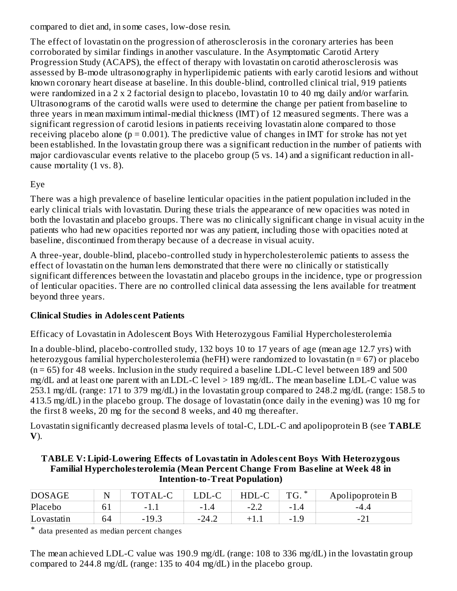compared to diet and, in some cases, low-dose resin.

The effect of lovastatin on the progression of atherosclerosis in the coronary arteries has been corroborated by similar findings in another vasculature. In the Asymptomatic Carotid Artery Progression Study (ACAPS), the effect of therapy with lovastatin on carotid atherosclerosis was assessed by B-mode ultrasonography in hyperlipidemic patients with early carotid lesions and without known coronary heart disease at baseline. In this double-blind, controlled clinical trial, 919 patients were randomized in a 2 x 2 factorial design to placebo, lovastatin 10 to 40 mg daily and/or warfarin. Ultrasonograms of the carotid walls were used to determine the change per patient from baseline to three years in mean maximum intimal-medial thickness (IMT) of 12 measured segments. There was a significant regression of carotid lesions in patients receiving lovastatin alone compared to those receiving placebo alone ( $p = 0.001$ ). The predictive value of changes in IMT for stroke has not yet been established. In the lovastatin group there was a significant reduction in the number of patients with major cardiovascular events relative to the placebo group (5 vs. 14) and a significant reduction in allcause mortality (1 vs. 8).

# Eye

There was a high prevalence of baseline lenticular opacities in the patient population included in the early clinical trials with lovastatin. During these trials the appearance of new opacities was noted in both the lovastatin and placebo groups. There was no clinically significant change in visual acuity in the patients who had new opacities reported nor was any patient, including those with opacities noted at baseline, discontinued from therapy because of a decrease in visual acuity.

A three-year, double-blind, placebo-controlled study in hypercholesterolemic patients to assess the effect of lovastatin on the human lens demonstrated that there were no clinically or statistically significant differences between the lovastatin and placebo groups in the incidence, type or progression of lenticular opacities. There are no controlled clinical data assessing the lens available for treatment beyond three years.

# **Clinical Studies in Adoles cent Patients**

Efficacy of Lovastatin in Adolescent Boys With Heterozygous Familial Hypercholesterolemia

In a double-blind, placebo-controlled study, 132 boys 10 to 17 years of age (mean age 12.7 yrs) with heterozygous familial hypercholesterolemia (heFH) were randomized to lovastatin (n = 67) or placebo  $(n = 65)$  for 48 weeks. Inclusion in the study required a baseline LDL-C level between 189 and 500 mg/dL and at least one parent with an LDL-C level > 189 mg/dL. The mean baseline LDL-C value was 253.1 mg/dL (range: 171 to 379 mg/dL) in the lovastatin group compared to 248.2 mg/dL (range: 158.5 to 413.5 mg/dL) in the placebo group. The dosage of lovastatin (once daily in the evening) was 10 mg for the first 8 weeks, 20 mg for the second 8 weeks, and 40 mg thereafter.

Lovastatin significantly decreased plasma levels of total-C, LDL-C and apolipoprotein B (see **TABLE V**).

| TABLE V: Lipid-Lowering Effects of Lovastatin in Adolescent Boys With Heterozygous    |
|---------------------------------------------------------------------------------------|
| <b>Familial Hypercholesterolemia (Mean Percent Change From Baseline at Week 48 in</b> |
| <b>Intention-to-Treat Population</b> )                                                |

| TABLE V: Lipid-Lowering Effects of Lovastatin in Adolescent Boys' with Heterozygous |
|-------------------------------------------------------------------------------------|
| Familial Hypercholes terolemia (Mean Percent Change From Baseline at Week 48 in     |
| <b>Intention-to-Treat Population</b> )                                              |
|                                                                                     |

| <b>DOSAGE</b> |    | Α       |                                 |                                               | $\ast$<br>$\mathbb{T}$<br>U. | Apolipoprotein B |
|---------------|----|---------|---------------------------------|-----------------------------------------------|------------------------------|------------------|
| Placebo       | 61 | -       | 1.4<br>$\overline{\phantom{0}}$ | ר ה<br>$\overline{\phantom{a}}$<br><u>_._</u> | $-1$                         | -4.4             |
| Lovastatin    | 64 | $-19.3$ | $-24.2$                         |                                               | $-1.0$                       | $\sim$           |

\* data presented as median percent changes

The mean achieved LDL-C value was 190.9 mg/dL (range: 108 to 336 mg/dL) in the lovastatin group compared to 244.8 mg/dL (range: 135 to 404 mg/dL) in the placebo group.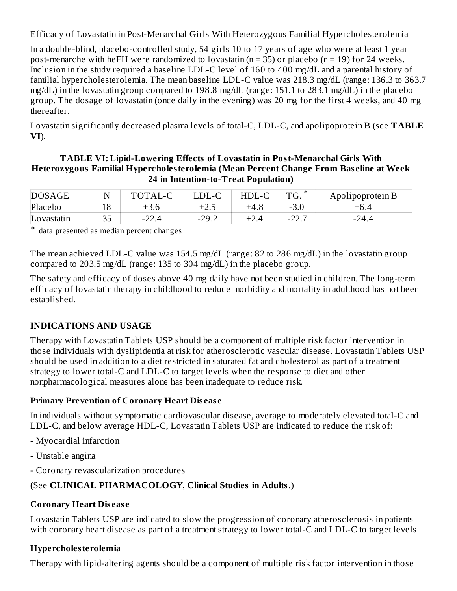Efficacy of Lovastatin in Post-Menarchal Girls With Heterozygous Familial Hypercholesterolemia

In a double-blind, placebo-controlled study, 54 girls 10 to 17 years of age who were at least 1 year post-menarche with heFH were randomized to lovastatin ( $n = 35$ ) or placebo ( $n = 19$ ) for 24 weeks. Inclusion in the study required a baseline LDL-C level of 160 to 400 mg/dL and a parental history of familial hypercholesterolemia. The mean baseline LDL-C value was 218.3 mg/dL (range: 136.3 to 363.7 mg/dL) in the lovastatin group compared to 198.8 mg/dL (range: 151.1 to 283.1 mg/dL) in the placebo group. The dosage of lovastatin (once daily in the evening) was 20 mg for the first 4 weeks, and 40 mg thereafter.

Lovastatin significantly decreased plasma levels of total-C, LDL-C, and apolipoprotein B (see **TABLE VI**).

#### **TABLE VI: Lipid-Lowering Effects of Lovastatin in Post-Menarchal Girls With Heterozygous Familial Hypercholesterolemia (Mean Percent Change From Bas eline at Week 24 in Intention-to-Treat Population)**

| <b>DOSAGE</b> |           | TOTAL-C | $\_DL-C$                    | $\sqrt{ }$<br>HDI.<br>∵.- U | ∗<br>$T^{\prime}$ | Apolipoprotein B |
|---------------|-----------|---------|-----------------------------|-----------------------------|-------------------|------------------|
| Placebo       | 18<br>⊥∪  | $+3.6$  | $\Box$ $\Box$<br>+2.5       | $+4.8$                      | - J.U             | $+6.4$           |
| Lovastatin    | חר<br>ں ں | $-22.4$ | $-29$ $^{\circ}$<br>ے. بے ا | -2.4                        | ד רר<br>-22       | -24.4            |

\* data presented as median percent changes

The mean achieved LDL-C value was 154.5 mg/dL (range: 82 to 286 mg/dL) in the lovastatin group compared to 203.5 mg/dL (range: 135 to 304 mg/dL) in the placebo group.

The safety and efficacy of doses above 40 mg daily have not been studied in children. The long-term efficacy of lovastatin therapy in childhood to reduce morbidity and mortality in adulthood has not been established.

# **INDICATIONS AND USAGE**

Therapy with Lovastatin Tablets USP should be a component of multiple risk factor intervention in those individuals with dyslipidemia at risk for atherosclerotic vascular disease. Lovastatin Tablets USP should be used in addition to a diet restricted in saturated fat and cholesterol as part of a treatment strategy to lower total-C and LDL-C to target levels when the response to diet and other nonpharmacological measures alone has been inadequate to reduce risk.

# **Primary Prevention of Coronary Heart Dis eas e**

In individuals without symptomatic cardiovascular disease, average to moderately elevated total-C and LDL-C, and below average HDL-C, Lovastatin Tablets USP are indicated to reduce the risk of:

- Myocardial infarction
- Unstable angina
- Coronary revascularization procedures

# (See **CLINICAL PHARMACOLOGY**, **Clinical Studies in Adults**.)

# **Coronary Heart Dis eas e**

Lovastatin Tablets USP are indicated to slow the progression of coronary atherosclerosis in patients with coronary heart disease as part of a treatment strategy to lower total-C and LDL-C to target levels.

# **Hypercholesterolemia**

Therapy with lipid-altering agents should be a component of multiple risk factor intervention in those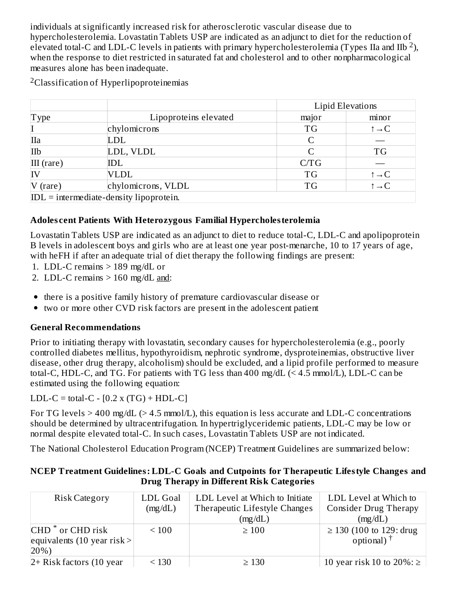individuals at significantly increased risk for atherosclerotic vascular disease due to hypercholesterolemia. Lovastatin Tablets USP are indicated as an adjunct to diet for the reduction of elevated total-C and LDL-C levels in patients with primary hypercholesterolemia (Types IIa and IIb<sup>2</sup>), when the response to diet restricted in saturated fat and cholesterol and to other nonpharmacological measures alone has been inadequate.

|                                           |                       |           | Lipid Elevations         |  |
|-------------------------------------------|-----------------------|-----------|--------------------------|--|
| <b>Type</b>                               | Lipoproteins elevated | major     | minor                    |  |
|                                           | chylomicrons          | <b>TG</b> | $\uparrow \rightarrow C$ |  |
| IIa                                       | LDL                   |           |                          |  |
| IIb                                       | LDL, VLDL             |           | <b>TG</b>                |  |
| $III$ (rare)                              | IDL                   | C/TG      |                          |  |
|                                           | <b>VLDL</b>           | <b>TG</b> | $\uparrow \rightarrow C$ |  |
| $V$ (rare)                                | chylomicrons, VLDL    | <b>TG</b> | $\uparrow \rightarrow C$ |  |
| $IDL = intermediate-density lipoprotein.$ |                       |           |                          |  |

#### **Adoles cent Patients With Heterozygous Familial Hypercholesterolemia**

Lovastatin Tablets USP are indicated as an adjunct to diet to reduce total-C, LDL-C and apolipoprotein B levels in adolescent boys and girls who are at least one year post-menarche, 10 to 17 years of age, with heFH if after an adequate trial of diet therapy the following findings are present:

- 1. LDL-C remains > 189 mg/dL or
- 2. LDL-C remains  $> 160$  mg/dL and:
- there is a positive family history of premature cardiovascular disease or
- two or more other CVD risk factors are present in the adolescent patient  $\bullet$

#### **General Recommendations**

Prior to initiating therapy with lovastatin, secondary causes for hypercholesterolemia (e.g., poorly controlled diabetes mellitus, hypothyroidism, nephrotic syndrome, dysproteinemias, obstructive liver disease, other drug therapy, alcoholism) should be excluded, and a lipid profile performed to measure total-C, HDL-C, and TG. For patients with TG less than 400 mg/dL (< 4.5 mmol/L), LDL-C can be estimated using the following equation:

LDL-C = total-C -  $[0.2 \times (TG) + HDL-C]$ 

For TG levels  $> 400$  mg/dL ( $> 4.5$  mmol/L), this equation is less accurate and LDL-C concentrations should be determined by ultracentrifugation. In hypertriglyceridemic patients, LDL-C may be low or normal despite elevated total-C. In such cases, Lovastatin Tablets USP are not indicated.

The National Cholesterol Education Program (NCEP) Treatment Guidelines are summarized below:

#### **NCEP Treatment Guidelines: LDL-C Goals and Cutpoints for Therapeutic Lifestyle Changes and Drug Therapy in Different Risk Categories**

| <b>Risk Category</b>          | <b>LDL</b> Goal | LDL Level at Which to Initiate | LDL Level at Which to             |
|-------------------------------|-----------------|--------------------------------|-----------------------------------|
|                               | (mg/dL)         | Therapeutic Lifestyle Changes  | Consider Drug Therapy             |
|                               |                 | (mg/dL)                        | (mg/dL)                           |
| CHD <sup>*</sup> or CHD risk  | $\leq 100$      | $\geq 100$                     | $\geq$ 130 (100 to 129: drug      |
| equivalents (10 year risk $>$ |                 |                                | optional) $^{\dagger}$            |
| $ 20\%$ )                     |                 |                                |                                   |
| $2+$ Risk factors (10 year)   | < 130           | $\geq 130$                     | 10 year risk 10 to $20\%$ : $\ge$ |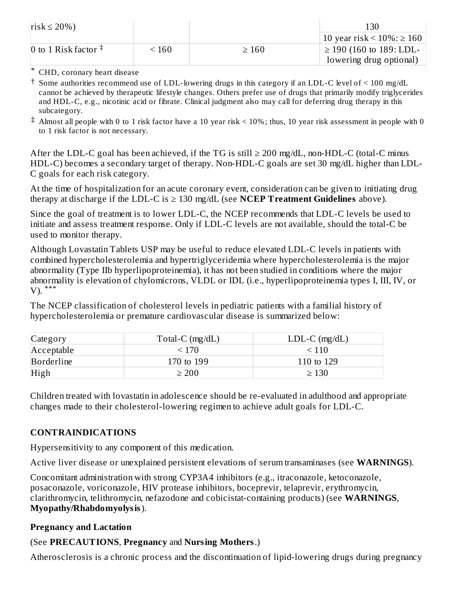| risk $\leq$ 20%)              |       |            | 130                                |
|-------------------------------|-------|------------|------------------------------------|
|                               |       |            | 10 year risk < $10\%$ : $\geq 160$ |
| 0 to 1 Risk factor $\ddagger$ | ፡ 160 | $\geq 160$ | $\geq$ 190 (160 to 189: LDL-       |
|                               |       |            | lowering drug optional)            |

\* CHD, coronary heart disease

- † Some authorities recommend use of LDL-lowering drugs in this category if an LDL-C level of < 100 mg/dL cannot be achieved by therapeutic lifestyle changes. Others prefer use of drugs that primarily modify triglycerides and HDL-C, e.g., nicotinic acid or fibrate. Clinical judgment also may call for deferring drug therapy in this subcategory.
- $^\ddag$  Almost all people with 0 to 1 risk factor have a 10 year risk < 10%; thus, 10 year risk assessment in people with 0 to 1 risk factor is not necessary.

After the LDL-C goal has been achieved, if the TG is still  $\geq 200$  mg/dL, non-HDL-C (total-C minus HDL-C) becomes a secondary target of therapy. Non-HDL-C goals are set 30 mg/dL higher than LDL-C goals for each risk category.

At the time of hospitalization for an acute coronary event, consideration can be given to initiating drug therapy at discharge if the LDL-C is ≥ 130 mg/dL (see **NCEP Treatment Guidelines** above).

Since the goal of treatment is to lower LDL-C, the NCEP recommends that LDL-C levels be used to initiate and assess treatment response. Only if LDL-C levels are not available, should the total-C be used to monitor therapy.

Although Lovastatin Tablets USP may be useful to reduce elevated LDL-C levels in patients with combined hypercholesterolemia and hypertriglyceridemia where hypercholesterolemia is the major abnormality (Type IIb hyperlipoproteinemia), it has not been studied in conditions where the major abnormality is elevation of chylomicrons, VLDL or IDL (i.e., hyperlipoproteinemia types I, III, IV, or V). \*\*\*

The NCEP classification of cholesterol levels in pediatric patients with a familial history of hypercholesterolemia or premature cardiovascular disease is summarized below:

| Category   | Total-C $(mg/dL)$ | $LDL-C$ (mg/dL) |
|------------|-------------------|-----------------|
| Acceptable | < 170             | < 110           |
| Borderline | 170 to 199        | 110 to 129      |
| High       | $\geq 200$        | $\geq 130$      |

Children treated with lovastatin in adolescence should be re-evaluated in adulthood and appropriate changes made to their cholesterol-lowering regimen to achieve adult goals for LDL-C.

# **CONTRAINDICATIONS**

Hypersensitivity to any component of this medication.

Active liver disease or unexplained persistent elevations of serum transaminases (see **WARNINGS**).

Concomitant administration with strong CYP3A4 inhibitors (e.g., itraconazole, ketoconazole, posaconazole, voriconazole, HIV protease inhibitors, boceprevir, telaprevir, erythromycin, clarithromycin, telithromycin, nefazodone and cobicistat-containing products) (see **WARNINGS**, **Myopathy/Rhabdomyolysis**).

# **Pregnancy and Lactation**

# (See **PRECAUTIONS**, **Pregnancy** and **Nursing Mothers**.)

Atherosclerosis is a chronic process and the discontinuation of lipid-lowering drugs during pregnancy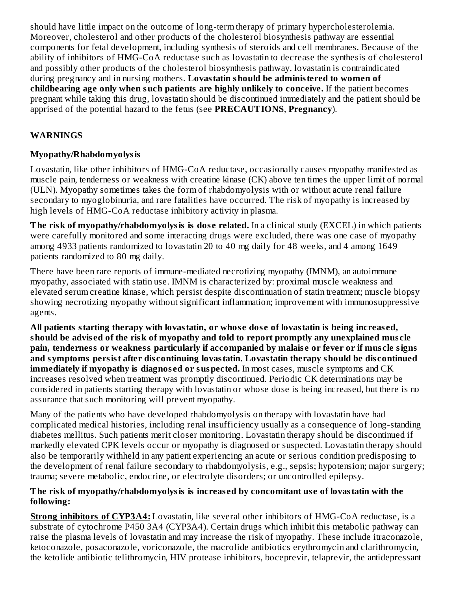should have little impact on the outcome of long-term therapy of primary hypercholesterolemia. Moreover, cholesterol and other products of the cholesterol biosynthesis pathway are essential components for fetal development, including synthesis of steroids and cell membranes. Because of the ability of inhibitors of HMG-CoA reductase such as lovastatin to decrease the synthesis of cholesterol and possibly other products of the cholesterol biosynthesis pathway, lovastatin is contraindicated during pregnancy and in nursing mothers. **Lovastatin should be administered to women of childbearing age only when such patients are highly unlikely to conceive.** If the patient becomes pregnant while taking this drug, lovastatin should be discontinued immediately and the patient should be apprised of the potential hazard to the fetus (see **PRECAUTIONS**, **Pregnancy**).

# **WARNINGS**

#### **Myopathy/Rhabdomyolysis**

Lovastatin, like other inhibitors of HMG-CoA reductase, occasionally causes myopathy manifested as muscle pain, tenderness or weakness with creatine kinase (CK) above ten times the upper limit of normal (ULN). Myopathy sometimes takes the form of rhabdomyolysis with or without acute renal failure secondary to myoglobinuria, and rare fatalities have occurred. The risk of myopathy is increased by high levels of HMG-CoA reductase inhibitory activity in plasma.

**The risk of myopathy/rhabdomyolysis is dos e related.** In a clinical study (EXCEL) in which patients were carefully monitored and some interacting drugs were excluded, there was one case of myopathy among 4933 patients randomized to lovastatin 20 to 40 mg daily for 48 weeks, and 4 among 1649 patients randomized to 80 mg daily.

There have been rare reports of immune-mediated necrotizing myopathy (IMNM), an autoimmune myopathy, associated with statin use. IMNM is characterized by: proximal muscle weakness and elevated serum creatine kinase, which persist despite discontinuation of statin treatment; muscle biopsy showing necrotizing myopathy without significant inflammation; improvement with immunosuppressive agents.

**All patients starting therapy with lovastatin, or whos e dos e of lovastatin is being increas ed, should be advis ed of the risk of myopathy and told to report promptly any unexplained mus cle pain, tenderness or weakness particularly if accompanied by malais e or fever or if mus cle signs and symptoms persist after dis continuing lovastatin. Lovastatin therapy should be dis continued immediately if myopathy is diagnos ed or suspected.** In most cases, muscle symptoms and CK increases resolved when treatment was promptly discontinued. Periodic CK determinations may be considered in patients starting therapy with lovastatin or whose dose is being increased, but there is no assurance that such monitoring will prevent myopathy.

Many of the patients who have developed rhabdomyolysis on therapy with lovastatin have had complicated medical histories, including renal insufficiency usually as a consequence of long-standing diabetes mellitus. Such patients merit closer monitoring. Lovastatin therapy should be discontinued if markedly elevated CPK levels occur or myopathy is diagnosed or suspected. Lovastatin therapy should also be temporarily withheld in any patient experiencing an acute or serious condition predisposing to the development of renal failure secondary to rhabdomyolysis, e.g., sepsis; hypotension; major surgery; trauma; severe metabolic, endocrine, or electrolyte disorders; or uncontrolled epilepsy.

#### **The risk of myopathy/rhabdomyolysis is increas ed by concomitant us e of lovastatin with the following:**

**Strong inhibitors of CYP3A4:** Lovastatin, like several other inhibitors of HMG-CoA reductase, is a substrate of cytochrome P450 3A4 (CYP3A4). Certain drugs which inhibit this metabolic pathway can raise the plasma levels of lovastatin and may increase the risk of myopathy. These include itraconazole, ketoconazole, posaconazole, voriconazole, the macrolide antibiotics erythromycin and clarithromycin, the ketolide antibiotic telithromycin, HIV protease inhibitors, boceprevir, telaprevir, the antidepressant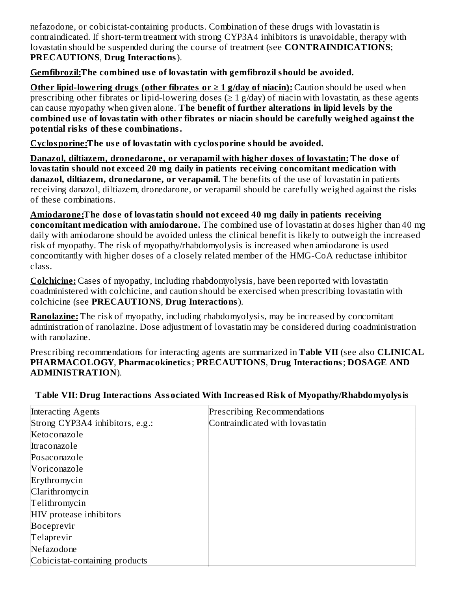nefazodone, or cobicistat-containing products. Combination of these drugs with lovastatin is contraindicated. If short-term treatment with strong CYP3A4 inhibitors is unavoidable, therapy with lovastatin should be suspended during the course of treatment (see **CONTRAINDICATIONS**; **PRECAUTIONS**, **Drug Interactions**).

#### **Gemfibrozil:The combined us e of lovastatin with gemfibrozil should be avoided.**

**Other lipid-lowering drugs (other fibrates or ≥ 1 g/day of niacin):** Caution should be used when prescribing other fibrates or lipid-lowering doses ( $\geq 1$  g/day) of niacin with lovastatin, as these agents can cause myopathy when given alone. **The benefit of further alterations in lipid levels by the combined us e of lovastatin with other fibrates or niacin should be carefully weighed against the potential risks of thes e combinations.**

**Cyclosporine:The us e of lovastatin with cyclosporine should be avoided.**

**Danazol, diltiazem, dronedarone, or verapamil with higher dos es of lovastatin: The dos e of lovastatin should not exceed 20 mg daily in patients receiving concomitant medication with danazol, diltiazem, dronedarone, or verapamil.** The benefits of the use of lovastatin in patients receiving danazol, diltiazem, dronedarone, or verapamil should be carefully weighed against the risks of these combinations.

**Amiodarone:The dos e of lovastatin should not exceed 40 mg daily in patients receiving concomitant medication with amiodarone.** The combined use of lovastatin at doses higher than 40 mg daily with amiodarone should be avoided unless the clinical benefit is likely to outweigh the increased risk of myopathy. The risk of myopathy/rhabdomyolysis is increased when amiodarone is used concomitantly with higher doses of a closely related member of the HMG-CoA reductase inhibitor class.

**Colchicine:** Cases of myopathy, including rhabdomyolysis, have been reported with lovastatin coadministered with colchicine, and caution should be exercised when prescribing lovastatin with colchicine (see **PRECAUTIONS**, **Drug Interactions**).

**Ranolazine:** The risk of myopathy, including rhabdomyolysis, may be increased by concomitant administration of ranolazine. Dose adjustment of lovastatin may be considered during coadministration with ranolazine.

Prescribing recommendations for interacting agents are summarized in **Table VII** (see also **CLINICAL PHARMACOLOGY**, **Pharmacokinetics**; **PRECAUTIONS**, **Drug Interactions**; **DOSAGE AND ADMINISTRATION**).

| Interacting Agents              | <b>Prescribing Recommendations</b> |
|---------------------------------|------------------------------------|
| Strong CYP3A4 inhibitors, e.g.: | Contraindicated with lovastatin    |
| Ketoconazole                    |                                    |
| Itraconazole                    |                                    |
| Posaconazole                    |                                    |
| Voriconazole                    |                                    |
| Erythromycin                    |                                    |
| Clarithromycin                  |                                    |
| Telithromycin                   |                                    |
| HIV protease inhibitors         |                                    |
| Boceprevir                      |                                    |
| Telaprevir                      |                                    |
| Nefazodone                      |                                    |
| Cobicistat-containing products  |                                    |

#### **Table VII: Drug Interactions Associated With Increas ed Risk of Myopathy/Rhabdomyolysis**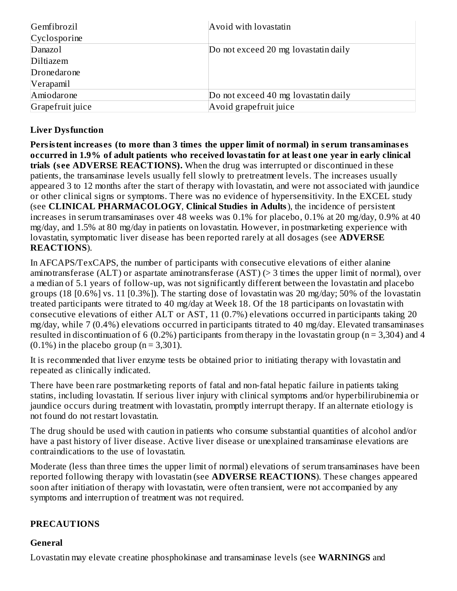| Gemfibrozil      | Avoid with lovastatin                |  |
|------------------|--------------------------------------|--|
| Cyclosporine     |                                      |  |
| Danazol          | Do not exceed 20 mg lovastatin daily |  |
| Diltiazem        |                                      |  |
| Dronedarone      |                                      |  |
| Verapamil        |                                      |  |
| Amiodarone       | Do not exceed 40 mg lovastatin daily |  |
| Grapefruit juice | Avoid grapefruit juice               |  |

# **Liver Dysfunction**

**Persistent increas es (to more than 3 times the upper limit of normal) in s erum transaminas es occurred in 1.9% of adult patients who received lovastatin for at least one year in early clinical trials (s ee ADVERSE REACTIONS).** When the drug was interrupted or discontinued in these patients, the transaminase levels usually fell slowly to pretreatment levels. The increases usually appeared 3 to 12 months after the start of therapy with lovastatin, and were not associated with jaundice or other clinical signs or symptoms. There was no evidence of hypersensitivity. In the EXCEL study (see **CLINICAL PHARMACOLOGY**, **Clinical Studies in Adults**), the incidence of persistent increases in serum transaminases over 48 weeks was 0.1% for placebo, 0.1% at 20 mg/day, 0.9% at 40 mg/day, and 1.5% at 80 mg/day in patients on lovastatin. However, in postmarketing experience with lovastatin, symptomatic liver disease has been reported rarely at all dosages (see **ADVERSE REACTIONS**).

In AFCAPS/TexCAPS, the number of participants with consecutive elevations of either alanine aminotransferase (ALT) or aspartate aminotransferase (AST) (> 3 times the upper limit of normal), over a median of 5.1 years of follow-up, was not significantly different between the lovastatin and placebo groups (18 [0.6%] vs. 11 [0.3%]). The starting dose of lovastatin was 20 mg/day; 50% of the lovastatin treated participants were titrated to 40 mg/day at Week 18. Of the 18 participants on lovastatin with consecutive elevations of either ALT or AST, 11 (0.7%) elevations occurred in participants taking 20 mg/day, while 7 (0.4%) elevations occurred in participants titrated to 40 mg/day. Elevated transaminases resulted in discontinuation of 6 (0.2%) participants from therapy in the lovastatin group (n = 3,304) and 4  $(0.1\%)$  in the placebo group (n = 3,301).

It is recommended that liver enzyme tests be obtained prior to initiating therapy with lovastatin and repeated as clinically indicated.

There have been rare postmarketing reports of fatal and non-fatal hepatic failure in patients taking statins, including lovastatin. If serious liver injury with clinical symptoms and/or hyperbilirubinemia or jaundice occurs during treatment with lovastatin, promptly interrupt therapy. If an alternate etiology is not found do not restart lovastatin.

The drug should be used with caution in patients who consume substantial quantities of alcohol and/or have a past history of liver disease. Active liver disease or unexplained transaminase elevations are contraindications to the use of lovastatin.

Moderate (less than three times the upper limit of normal) elevations of serum transaminases have been reported following therapy with lovastatin (see **ADVERSE REACTIONS**). These changes appeared soon after initiation of therapy with lovastatin, were often transient, were not accompanied by any symptoms and interruption of treatment was not required.

#### **PRECAUTIONS**

#### **General**

Lovastatin may elevate creatine phosphokinase and transaminase levels (see **WARNINGS** and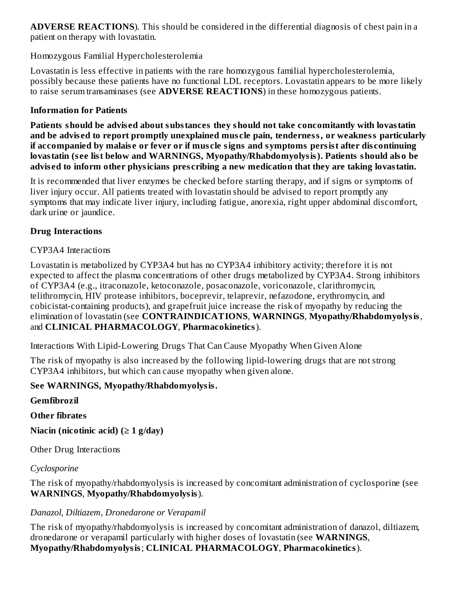**ADVERSE REACTIONS**). This should be considered in the differential diagnosis of chest pain in a patient on therapy with lovastatin.

#### Homozygous Familial Hypercholesterolemia

Lovastatin is less effective in patients with the rare homozygous familial hypercholesterolemia, possibly because these patients have no functional LDL receptors. Lovastatin appears to be more likely to raise serum transaminases (see **ADVERSE REACTIONS**) in these homozygous patients.

#### **Information for Patients**

**Patients should be advis ed about substances they should not take concomitantly with lovastatin and be advis ed to report promptly unexplained mus cle pain, tenderness, or weakness particularly if accompanied by malais e or fever or if mus cle signs and symptoms persist after dis continuing lovastatin (s ee list below and WARNINGS, Myopathy/Rhabdomyolysis). Patients should also be advis ed to inform other physicians pres cribing a new medication that they are taking lovastatin.**

It is recommended that liver enzymes be checked before starting therapy, and if signs or symptoms of liver injury occur. All patients treated with lovastatin should be advised to report promptly any symptoms that may indicate liver injury, including fatigue, anorexia, right upper abdominal discomfort, dark urine or jaundice.

#### **Drug Interactions**

#### CYP3A4 Interactions

Lovastatin is metabolized by CYP3A4 but has no CYP3A4 inhibitory activity; therefore it is not expected to affect the plasma concentrations of other drugs metabolized by CYP3A4. Strong inhibitors of CYP3A4 (e.g., itraconazole, ketoconazole, posaconazole, voriconazole, clarithromycin, telithromycin, HIV protease inhibitors, boceprevir, telaprevir, nefazodone, erythromycin, and cobicistat-containing products), and grapefruit juice increase the risk of myopathy by reducing the elimination of lovastatin (see **CONTRAINDICATIONS**, **WARNINGS**, **Myopathy/Rhabdomyolysis**, and **CLINICAL PHARMACOLOGY**, **Pharmacokinetics**).

Interactions With Lipid-Lowering Drugs That Can Cause Myopathy When Given Alone

The risk of myopathy is also increased by the following lipid-lowering drugs that are not strong CYP3A4 inhibitors, but which can cause myopathy when given alone.

# **See WARNINGS, Myopathy/Rhabdomyolysis.**

**Gemfibrozil**

**Other fibrates**

**Niacin (nicotinic acid) (≥ 1 g/day)**

Other Drug Interactions

# *Cyclosporine*

The risk of myopathy/rhabdomyolysis is increased by concomitant administration of cyclosporine (see **WARNINGS**, **Myopathy/Rhabdomyolysis**).

# *Danazol, Diltiazem, Dronedarone or Verapamil*

The risk of myopathy/rhabdomyolysis is increased by concomitant administration of danazol, diltiazem, dronedarone or verapamil particularly with higher doses of lovastatin (see **WARNINGS**, **Myopathy/Rhabdomyolysis**; **CLINICAL PHARMACOLOGY**, **Pharmacokinetics**).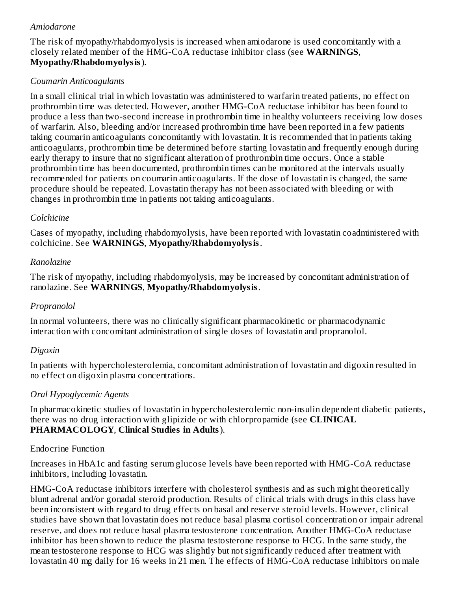#### *Amiodarone*

The risk of myopathy/rhabdomyolysis is increased when amiodarone is used concomitantly with a closely related member of the HMG-CoA reductase inhibitor class (see **WARNINGS**, **Myopathy/Rhabdomyolysis**).

#### *Coumarin Anticoagulants*

In a small clinical trial in which lovastatin was administered to warfarin treated patients, no effect on prothrombin time was detected. However, another HMG-CoA reductase inhibitor has been found to produce a less than two-second increase in prothrombin time in healthy volunteers receiving low doses of warfarin. Also, bleeding and/or increased prothrombin time have been reported in a few patients taking coumarin anticoagulants concomitantly with lovastatin. It is recommended that in patients taking anticoagulants, prothrombin time be determined before starting lovastatin and frequently enough during early therapy to insure that no significant alteration of prothrombin time occurs. Once a stable prothrombin time has been documented, prothrombin times can be monitored at the intervals usually recommended for patients on coumarin anticoagulants. If the dose of lovastatin is changed, the same procedure should be repeated. Lovastatin therapy has not been associated with bleeding or with changes in prothrombin time in patients not taking anticoagulants.

#### *Colchicine*

Cases of myopathy, including rhabdomyolysis, have been reported with lovastatin coadministered with colchicine. See **WARNINGS**, **Myopathy/Rhabdomyolysis**.

#### *Ranolazine*

The risk of myopathy, including rhabdomyolysis, may be increased by concomitant administration of ranolazine. See **WARNINGS**, **Myopathy/Rhabdomyolysis**.

# *Propranolol*

In normal volunteers, there was no clinically significant pharmacokinetic or pharmacodynamic interaction with concomitant administration of single doses of lovastatin and propranolol.

# *Digoxin*

In patients with hypercholesterolemia, concomitant administration of lovastatin and digoxin resulted in no effect on digoxin plasma concentrations.

# *Oral Hypoglycemic Agents*

In pharmacokinetic studies of lovastatin in hypercholesterolemic non-insulin dependent diabetic patients, there was no drug interaction with glipizide or with chlorpropamide (see **CLINICAL PHARMACOLOGY**, **Clinical Studies in Adults**).

# Endocrine Function

Increases in HbA1c and fasting serum glucose levels have been reported with HMG-CoA reductase inhibitors, including lovastatin.

HMG-CoA reductase inhibitors interfere with cholesterol synthesis and as such might theoretically blunt adrenal and/or gonadal steroid production. Results of clinical trials with drugs in this class have been inconsistent with regard to drug effects on basal and reserve steroid levels. However, clinical studies have shown that lovastatin does not reduce basal plasma cortisol concentration or impair adrenal reserve, and does not reduce basal plasma testosterone concentration. Another HMG-CoA reductase inhibitor has been shown to reduce the plasma testosterone response to HCG. In the same study, the mean testosterone response to HCG was slightly but not significantly reduced after treatment with lovastatin 40 mg daily for 16 weeks in 21 men. The effects of HMG-CoA reductase inhibitors on male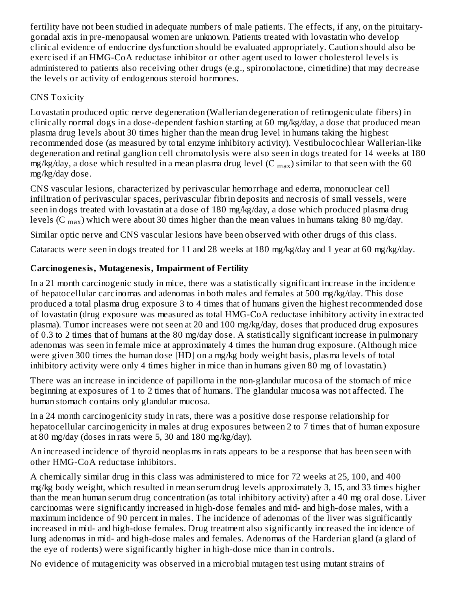fertility have not been studied in adequate numbers of male patients. The effects, if any, on the pituitarygonadal axis in pre-menopausal women are unknown. Patients treated with lovastatin who develop clinical evidence of endocrine dysfunction should be evaluated appropriately. Caution should also be exercised if an HMG-CoA reductase inhibitor or other agent used to lower cholesterol levels is administered to patients also receiving other drugs (e.g., spironolactone, cimetidine) that may decrease the levels or activity of endogenous steroid hormones.

# CNS Toxicity

Lovastatin produced optic nerve degeneration (Wallerian degeneration of retinogeniculate fibers) in clinically normal dogs in a dose-dependent fashion starting at 60 mg/kg/day, a dose that produced mean plasma drug levels about 30 times higher than the mean drug level in humans taking the highest recommended dose (as measured by total enzyme inhibitory activity). Vestibulocochlear Wallerian-like degeneration and retinal ganglion cell chromatolysis were also seen in dogs treated for 14 weeks at 180 mg/kg/day, a dose which resulted in a mean plasma drug level (C  $_{\rm max}$ ) similar to that seen with the 60 mg/kg/day dose.

CNS vascular lesions, characterized by perivascular hemorrhage and edema, mononuclear cell infiltration of perivascular spaces, perivascular fibrin deposits and necrosis of small vessels, were seen in dogs treated with lovastatin at a dose of 180 mg/kg/day, a dose which produced plasma drug levels (C  $_{\rm max}$ ) which were about 30 times higher than the mean values in humans taking 80 mg/day.

Similar optic nerve and CNS vascular lesions have been observed with other drugs of this class.

Cataracts were seen in dogs treated for 11 and 28 weeks at 180 mg/kg/day and 1 year at 60 mg/kg/day.

# **Carcinogenesis, Mutagenesis, Impairment of Fertility**

In a 21 month carcinogenic study in mice, there was a statistically significant increase in the incidence of hepatocellular carcinomas and adenomas in both males and females at 500 mg/kg/day. This dose produced a total plasma drug exposure 3 to 4 times that of humans given the highest recommended dose of lovastatin (drug exposure was measured as total HMG-CoA reductase inhibitory activity in extracted plasma). Tumor increases were not seen at 20 and 100 mg/kg/day, doses that produced drug exposures of 0.3 to 2 times that of humans at the 80 mg/day dose. A statistically significant increase in pulmonary adenomas was seen in female mice at approximately 4 times the human drug exposure. (Although mice were given 300 times the human dose [HD] on a mg/kg body weight basis, plasma levels of total inhibitory activity were only 4 times higher in mice than in humans given 80 mg of lovastatin.)

There was an increase in incidence of papilloma in the non-glandular mucosa of the stomach of mice beginning at exposures of 1 to 2 times that of humans. The glandular mucosa was not affected. The human stomach contains only glandular mucosa.

In a 24 month carcinogenicity study in rats, there was a positive dose response relationship for hepatocellular carcinogenicity in males at drug exposures between 2 to 7 times that of human exposure at 80 mg/day (doses in rats were 5, 30 and 180 mg/kg/day).

An increased incidence of thyroid neoplasms in rats appears to be a response that has been seen with other HMG-CoA reductase inhibitors.

A chemically similar drug in this class was administered to mice for 72 weeks at 25, 100, and 400 mg/kg body weight, which resulted in mean serum drug levels approximately 3, 15, and 33 times higher than the mean human serum drug concentration (as total inhibitory activity) after a 40 mg oral dose. Liver carcinomas were significantly increased in high-dose females and mid- and high-dose males, with a maximum incidence of 90 percent in males. The incidence of adenomas of the liver was significantly increased in mid- and high-dose females. Drug treatment also significantly increased the incidence of lung adenomas in mid- and high-dose males and females. Adenomas of the Harderian gland (a gland of the eye of rodents) were significantly higher in high-dose mice than in controls.

No evidence of mutagenicity was observed in a microbial mutagen test using mutant strains of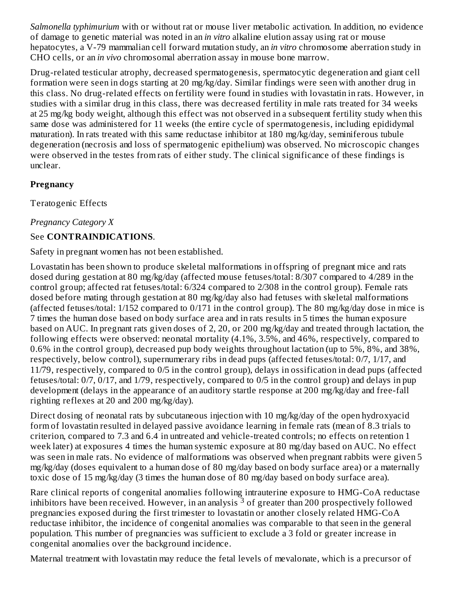*Salmonella typhimurium* with or without rat or mouse liver metabolic activation. In addition, no evidence of damage to genetic material was noted in an *in vitro* alkaline elution assay using rat or mouse hepatocytes, a V-79 mammalian cell forward mutation study, an *in vitro* chromosome aberration study in CHO cells, or an *in vivo* chromosomal aberration assay in mouse bone marrow.

Drug-related testicular atrophy, decreased spermatogenesis, spermatocytic degeneration and giant cell formation were seen in dogs starting at 20 mg/kg/day. Similar findings were seen with another drug in this class. No drug-related effects on fertility were found in studies with lovastatin in rats. However, in studies with a similar drug in this class, there was decreased fertility in male rats treated for 34 weeks at 25 mg/kg body weight, although this effect was not observed in a subsequent fertility study when this same dose was administered for 11 weeks (the entire cycle of spermatogenesis, including epididymal maturation). In rats treated with this same reductase inhibitor at 180 mg/kg/day, seminiferous tubule degeneration (necrosis and loss of spermatogenic epithelium) was observed. No microscopic changes were observed in the testes from rats of either study. The clinical significance of these findings is unclear.

# **Pregnancy**

Teratogenic Effects

*Pregnancy Category X*

# See **CONTRAINDICATIONS**.

Safety in pregnant women has not been established.

Lovastatin has been shown to produce skeletal malformations in offspring of pregnant mice and rats dosed during gestation at 80 mg/kg/day (affected mouse fetuses/total: 8/307 compared to 4/289 in the control group; affected rat fetuses/total: 6/324 compared to 2/308 in the control group). Female rats dosed before mating through gestation at 80 mg/kg/day also had fetuses with skeletal malformations (affected fetuses/total: 1/152 compared to 0/171 in the control group). The 80 mg/kg/day dose in mice is 7 times the human dose based on body surface area and in rats results in 5 times the human exposure based on AUC. In pregnant rats given doses of 2, 20, or 200 mg/kg/day and treated through lactation, the following effects were observed: neonatal mortality (4.1%, 3.5%, and 46%, respectively, compared to 0.6% in the control group), decreased pup body weights throughout lactation (up to 5%, 8%, and 38%, respectively, below control), supernumerary ribs in dead pups (affected fetuses/total: 0/7, 1/17, and 11/79, respectively, compared to 0/5 in the control group), delays in ossification in dead pups (affected fetuses/total: 0/7, 0/17, and 1/79, respectively, compared to 0/5 in the control group) and delays in pup development (delays in the appearance of an auditory startle response at 200 mg/kg/day and free-fall righting reflexes at 20 and 200 mg/kg/day).

Direct dosing of neonatal rats by subcutaneous injection with 10 mg/kg/day of the open hydroxyacid form of lovastatin resulted in delayed passive avoidance learning in female rats (mean of 8.3 trials to criterion, compared to 7.3 and 6.4 in untreated and vehicle-treated controls; no effects on retention 1 week later) at exposures 4 times the human systemic exposure at 80 mg/day based on AUC. No effect was seen in male rats. No evidence of malformations was observed when pregnant rabbits were given 5 mg/kg/day (doses equivalent to a human dose of 80 mg/day based on body surface area) or a maternally toxic dose of 15 mg/kg/day (3 times the human dose of 80 mg/day based on body surface area).

Rare clinical reports of congenital anomalies following intrauterine exposure to HMG-CoA reductase inhibitors have been received. However, in an analysis  $^{\overline{3}}$  of greater than 200 prospectively followed pregnancies exposed during the first trimester to lovastatin or another closely related HMG-CoA reductase inhibitor, the incidence of congenital anomalies was comparable to that seen in the general population. This number of pregnancies was sufficient to exclude a 3 fold or greater increase in congenital anomalies over the background incidence.

Maternal treatment with lovastatin may reduce the fetal levels of mevalonate, which is a precursor of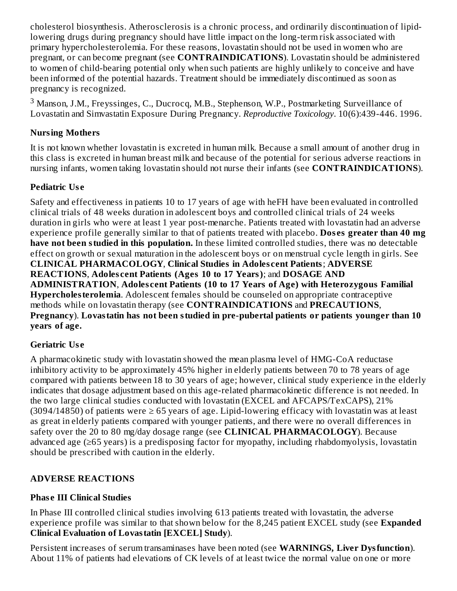cholesterol biosynthesis. Atherosclerosis is a chronic process, and ordinarily discontinuation of lipidlowering drugs during pregnancy should have little impact on the long-term risk associated with primary hypercholesterolemia. For these reasons, lovastatin should not be used in women who are pregnant, or can become pregnant (see **CONTRAINDICATIONS**). Lovastatin should be administered to women of child-bearing potential only when such patients are highly unlikely to conceive and have been informed of the potential hazards. Treatment should be immediately discontinued as soon as pregnancy is recognized.

 $3$  Manson, J.M., Freyssinges, C., Ducrocq, M.B., Stephenson, W.P., Postmarketing Surveillance of Lovastatin and Simvastatin Exposure During Pregnancy. *Reproductive Toxicology*. 10(6):439-446. 1996.

#### **Nursing Mothers**

It is not known whether lovastatin is excreted in human milk. Because a small amount of another drug in this class is excreted in human breast milk and because of the potential for serious adverse reactions in nursing infants, women taking lovastatin should not nurse their infants (see **CONTRAINDICATIONS**).

# **Pediatric Us e**

Safety and effectiveness in patients 10 to 17 years of age with heFH have been evaluated in controlled clinical trials of 48 weeks duration in adolescent boys and controlled clinical trials of 24 weeks duration in girls who were at least 1 year post-menarche. Patients treated with lovastatin had an adverse experience profile generally similar to that of patients treated with placebo. **Dos es greater than 40 mg have not been studied in this population.** In these limited controlled studies, there was no detectable effect on growth or sexual maturation in the adolescent boys or on menstrual cycle length in girls. See **CLINICAL PHARMACOLOGY**, **Clinical Studies in Adoles cent Patients**; **ADVERSE REACTIONS**, **Adoles cent Patients (Ages 10 to 17 Years)**; and **DOSAGE AND ADMINISTRATION**, **Adoles cent Patients (10 to 17 Years of Age) with Heterozygous Familial Hypercholesterolemia**. Adolescent females should be counseled on appropriate contraceptive methods while on lovastatin therapy (see **CONTRAINDICATIONS** and **PRECAUTIONS**, **Pregnancy**). **Lovastatin has not been studied in pre-pubertal patients or patients younger than 10 years of age.**

# **Geriatric Us e**

A pharmacokinetic study with lovastatin showed the mean plasma level of HMG-CoA reductase inhibitory activity to be approximately 45% higher in elderly patients between 70 to 78 years of age compared with patients between 18 to 30 years of age; however, clinical study experience in the elderly indicates that dosage adjustment based on this age-related pharmacokinetic difference is not needed. In the two large clinical studies conducted with lovastatin (EXCEL and AFCAPS/TexCAPS), 21% (3094/14850) of patients were  $\geq 65$  years of age. Lipid-lowering efficacy with lovastatin was at least as great in elderly patients compared with younger patients, and there were no overall differences in safety over the 20 to 80 mg/day dosage range (see **CLINICAL PHARMACOLOGY**). Because advanced age (≥65 years) is a predisposing factor for myopathy, including rhabdomyolysis, lovastatin should be prescribed with caution in the elderly.

# **ADVERSE REACTIONS**

# **Phas e III Clinical Studies**

In Phase III controlled clinical studies involving 613 patients treated with lovastatin, the adverse experience profile was similar to that shown below for the 8,245 patient EXCEL study (see **Expanded Clinical Evaluation of Lovastatin [EXCEL] Study**).

Persistent increases of serum transaminases have been noted (see **WARNINGS, Liver Dysfunction**). About 11% of patients had elevations of CK levels of at least twice the normal value on one or more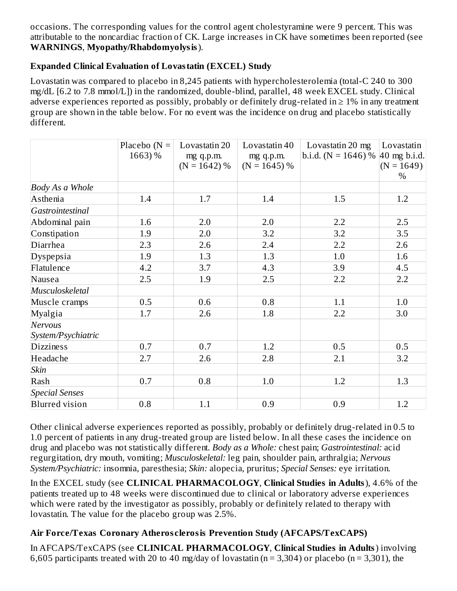occasions. The corresponding values for the control agent cholestyramine were 9 percent. This was attributable to the noncardiac fraction of CK. Large increases in CK have sometimes been reported (see **WARNINGS**, **Myopathy/Rhabdomyolysis**).

# **Expanded Clinical Evaluation of Lovastatin (EXCEL) Study**

Lovastatin was compared to placebo in 8,245 patients with hypercholesterolemia (total-C 240 to 300 mg/dL [6.2 to 7.8 mmol/L]) in the randomized, double-blind, parallel, 48 week EXCEL study. Clinical adverse experiences reported as possibly, probably or definitely drug-related in  $\geq 1\%$  in any treatment group are shown in the table below. For no event was the incidence on drug and placebo statistically different.

|                       | Placebo $(N =$ | Lovastatin 20  | Lovastatin 40  | Lovastatin 20 mg                             | Lovastatin   |
|-----------------------|----------------|----------------|----------------|----------------------------------------------|--------------|
|                       | 1663) %        | mg q.p.m.      | mg q.p.m.      | b.i.d. (N = 1646) % $ 40 \text{ mg b.i.d.} $ |              |
|                       |                | $(N = 1642)$ % | $(N = 1645)$ % |                                              | $(N = 1649)$ |
|                       |                |                |                |                                              | $\%$         |
| Body As a Whole       |                |                |                |                                              |              |
| Asthenia              | 1.4            | 1.7            | 1.4            | 1.5                                          | 1.2          |
| Gastrointestinal      |                |                |                |                                              |              |
| Abdominal pain        | 1.6            | 2.0            | 2.0            | 2.2                                          | 2.5          |
| Constipation          | 1.9            | 2.0            | 3.2            | 3.2                                          | 3.5          |
| Diarrhea              | 2.3            | 2.6            | 2.4            | 2.2                                          | 2.6          |
| Dyspepsia             | 1.9            | 1.3            | 1.3            | 1.0                                          | 1.6          |
| Flatulence            | 4.2            | 3.7            | 4.3            | 3.9                                          | 4.5          |
| Nausea                | 2.5            | 1.9            | 2.5            | 2.2                                          | 2.2          |
| Musculoskeletal       |                |                |                |                                              |              |
| Muscle cramps         | 0.5            | 0.6            | 0.8            | 1.1                                          | 1.0          |
| Myalgia               | 1.7            | 2.6            | 1.8            | 2.2                                          | 3.0          |
| Nervous               |                |                |                |                                              |              |
| System/Psychiatric    |                |                |                |                                              |              |
| <b>Dizziness</b>      | 0.7            | 0.7            | 1.2            | 0.5                                          | 0.5          |
| Headache              | 2.7            | 2.6            | 2.8            | 2.1                                          | 3.2          |
| Skin                  |                |                |                |                                              |              |
| Rash                  | 0.7            | 0.8            | 1.0            | 1.2                                          | 1.3          |
| <b>Special Senses</b> |                |                |                |                                              |              |
| <b>Blurred</b> vision | $0.8\,$        | 1.1            | 0.9            | 0.9                                          | 1.2          |

Other clinical adverse experiences reported as possibly, probably or definitely drug-related in 0.5 to 1.0 percent of patients in any drug-treated group are listed below. In all these cases the incidence on drug and placebo was not statistically different. *Body as a Whole:* chest pain; *Gastrointestinal:* acid regurgitation, dry mouth, vomiting; *Musculoskeletal:* leg pain, shoulder pain, arthralgia; *Nervous System/Psychiatric:* insomnia, paresthesia; *Skin:* alopecia, pruritus; *Special Senses:* eye irritation.

In the EXCEL study (see **CLINICAL PHARMACOLOGY**, **Clinical Studies in Adults**), 4.6% of the patients treated up to 48 weeks were discontinued due to clinical or laboratory adverse experiences which were rated by the investigator as possibly, probably or definitely related to therapy with lovastatin. The value for the placebo group was 2.5%.

# **Air Force/Texas Coronary Atheros clerosis Prevention Study (AFCAPS/TexCAPS)**

In AFCAPS/TexCAPS (see **CLINICAL PHARMACOLOGY**, **Clinical Studies in Adults**) involving 6,605 participants treated with 20 to 40 mg/day of lovastatin ( $n = 3,304$ ) or placebo ( $n = 3,301$ ), the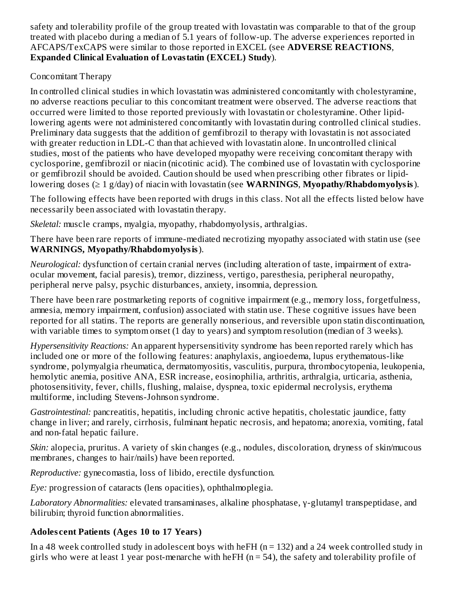safety and tolerability profile of the group treated with lovastatin was comparable to that of the group treated with placebo during a median of 5.1 years of follow-up. The adverse experiences reported in AFCAPS/TexCAPS were similar to those reported in EXCEL (see **ADVERSE REACTIONS**, **Expanded Clinical Evaluation of Lovastatin (EXCEL) Study**).

# Concomitant Therapy

In controlled clinical studies in which lovastatin was administered concomitantly with cholestyramine, no adverse reactions peculiar to this concomitant treatment were observed. The adverse reactions that occurred were limited to those reported previously with lovastatin or cholestyramine. Other lipidlowering agents were not administered concomitantly with lovastatin during controlled clinical studies. Preliminary data suggests that the addition of gemfibrozil to therapy with lovastatin is not associated with greater reduction in LDL-C than that achieved with lovastatin alone. In uncontrolled clinical studies, most of the patients who have developed myopathy were receiving concomitant therapy with cyclosporine, gemfibrozil or niacin (nicotinic acid). The combined use of lovastatin with cyclosporine or gemfibrozil should be avoided. Caution should be used when prescribing other fibrates or lipidlowering doses (≥ 1 g/day) of niacin with lovastatin (see **WARNINGS**, **Myopathy/Rhabdomyolysis**).

The following effects have been reported with drugs in this class. Not all the effects listed below have necessarily been associated with lovastatin therapy.

*Skeletal:* muscle cramps, myalgia, myopathy, rhabdomyolysis, arthralgias.

There have been rare reports of immune-mediated necrotizing myopathy associated with statin use (see **WARNINGS, Myopathy/Rhabdomyolysis**).

*Neurological:* dysfunction of certain cranial nerves (including alteration of taste, impairment of extraocular movement, facial paresis), tremor, dizziness, vertigo, paresthesia, peripheral neuropathy, peripheral nerve palsy, psychic disturbances, anxiety, insomnia, depression.

There have been rare postmarketing reports of cognitive impairment (e.g., memory loss, forgetfulness, amnesia, memory impairment, confusion) associated with statin use. These cognitive issues have been reported for all statins. The reports are generally nonserious, and reversible upon statin discontinuation, with variable times to symptom onset (1 day to years) and symptom resolution (median of 3 weeks).

*Hypersensitivity Reactions:* An apparent hypersensitivity syndrome has been reported rarely which has included one or more of the following features: anaphylaxis, angioedema, lupus erythematous-like syndrome, polymyalgia rheumatica, dermatomyositis, vasculitis, purpura, thrombocytopenia, leukopenia, hemolytic anemia, positive ANA, ESR increase, eosinophilia, arthritis, arthralgia, urticaria, asthenia, photosensitivity, fever, chills, flushing, malaise, dyspnea, toxic epidermal necrolysis, erythema multiforme, including Stevens-Johnson syndrome.

*Gastrointestinal:* pancreatitis, hepatitis, including chronic active hepatitis, cholestatic jaundice, fatty change in liver; and rarely, cirrhosis, fulminant hepatic necrosis, and hepatoma; anorexia, vomiting, fatal and non-fatal hepatic failure.

*Skin:* alopecia, pruritus. A variety of skin changes (e.g., nodules, discoloration, dryness of skin/mucous membranes, changes to hair/nails) have been reported.

*Reproductive:* gynecomastia, loss of libido, erectile dysfunction.

*Eye:* progression of cataracts (lens opacities), ophthalmoplegia.

*Laboratory Abnormalities:* elevated transaminases, alkaline phosphatase, γ-glutamyl transpeptidase, and bilirubin; thyroid function abnormalities.

# **Adoles cent Patients (Ages 10 to 17 Years)**

In a 48 week controlled study in adolescent boys with heFH ( $n = 132$ ) and a 24 week controlled study in girls who were at least 1 year post-menarche with heFH ( $n = 54$ ), the safety and tolerability profile of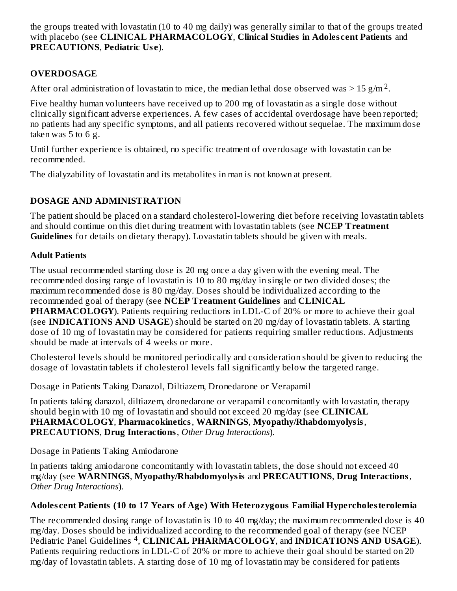the groups treated with lovastatin (10 to 40 mg daily) was generally similar to that of the groups treated with placebo (see **CLINICAL PHARMACOLOGY**, **Clinical Studies in Adoles cent Patients** and **PRECAUTIONS**, **Pediatric Us e**).

# **OVERDOSAGE**

After oral administration of lovastatin to mice, the median lethal dose observed was > 15 g/m  $^2$ .

Five healthy human volunteers have received up to 200 mg of lovastatin as a single dose without clinically significant adverse experiences. A few cases of accidental overdosage have been reported; no patients had any specific symptoms, and all patients recovered without sequelae. The maximum dose taken was 5 to 6 g.

Until further experience is obtained, no specific treatment of overdosage with lovastatin can be recommended.

The dialyzability of lovastatin and its metabolites in man is not known at present.

# **DOSAGE AND ADMINISTRATION**

The patient should be placed on a standard cholesterol-lowering diet before receiving lovastatin tablets and should continue on this diet during treatment with lovastatin tablets (see **NCEP Treatment Guidelines** for details on dietary therapy). Lovastatin tablets should be given with meals.

# **Adult Patients**

The usual recommended starting dose is 20 mg once a day given with the evening meal. The recommended dosing range of lovastatin is 10 to 80 mg/day in single or two divided doses; the maximum recommended dose is 80 mg/day. Doses should be individualized according to the recommended goal of therapy (see **NCEP Treatment Guidelines** and **CLINICAL PHARMACOLOGY**). Patients requiring reductions in LDL-C of 20% or more to achieve their goal (see **INDICATIONS AND USAGE**) should be started on 20 mg/day of lovastatin tablets. A starting dose of 10 mg of lovastatin may be considered for patients requiring smaller reductions. Adjustments should be made at intervals of 4 weeks or more.

Cholesterol levels should be monitored periodically and consideration should be given to reducing the dosage of lovastatin tablets if cholesterol levels fall significantly below the targeted range.

Dosage in Patients Taking Danazol, Diltiazem, Dronedarone or Verapamil

In patients taking danazol, diltiazem, dronedarone or verapamil concomitantly with lovastatin, therapy should begin with 10 mg of lovastatin and should not exceed 20 mg/day (see **CLINICAL PHARMACOLOGY**, **Pharmacokinetics**, **WARNINGS**, **Myopathy/Rhabdomyolysis**, **PRECAUTIONS**, **Drug Interactions**, *Other Drug Interactions*).

Dosage in Patients Taking Amiodarone

In patients taking amiodarone concomitantly with lovastatin tablets, the dose should not exceed 40 mg/day (see **WARNINGS**, **Myopathy/Rhabdomyolysis** and **PRECAUTIONS**, **Drug Interactions**, *Other Drug Interactions*).

# **Adoles cent Patients (10 to 17 Years of Age) With Heterozygous Familial Hypercholesterolemia**

The recommended dosing range of lovastatin is 10 to 40 mg/day; the maximum recommended dose is 40 mg/day. Doses should be individualized according to the recommended goal of therapy (see NCEP Pediatric Panel Guidelines <sup>4</sup>, CLINICAL PHARMACOLOGY, and **INDICATIONS** AND USAGE). Patients requiring reductions in LDL-C of 20% or more to achieve their goal should be started on 20 mg/day of lovastatin tablets. A starting dose of 10 mg of lovastatin may be considered for patients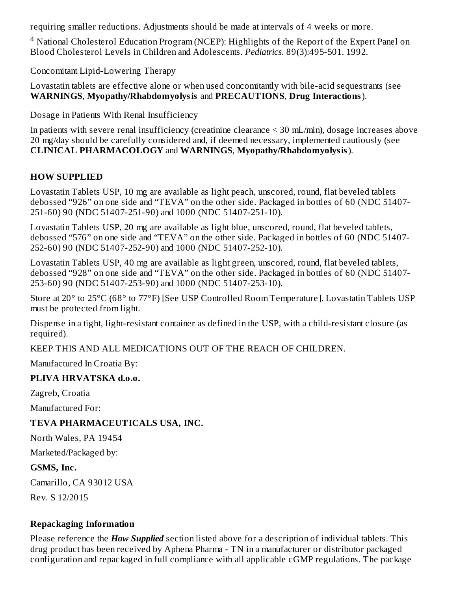requiring smaller reductions. Adjustments should be made at intervals of 4 weeks or more.

<sup>4</sup> National Cholesterol Education Program (NCEP): Highlights of the Report of the Expert Panel on Blood Cholesterol Levels in Children and Adolescents. *Pediatrics*. 89(3):495-501. 1992.

Concomitant Lipid-Lowering Therapy

Lovastatin tablets are effective alone or when used concomitantly with bile-acid sequestrants (see **WARNINGS**, **Myopathy/Rhabdomyolysis** and **PRECAUTIONS**, **Drug Interactions**).

Dosage in Patients With Renal Insufficiency

In patients with severe renal insufficiency (creatinine clearance < 30 mL/min), dosage increases above 20 mg/day should be carefully considered and, if deemed necessary, implemented cautiously (see **CLINICAL PHARMACOLOGY** and **WARNINGS**, **Myopathy/Rhabdomyolysis**).

# **HOW SUPPLIED**

Lovastatin Tablets USP, 10 mg are available as light peach, unscored, round, flat beveled tablets debossed "926" on one side and "TEVA" on the other side. Packaged in bottles of 60 (NDC 51407- 251-60) 90 (NDC 51407-251-90) and 1000 (NDC 51407-251-10).

Lovastatin Tablets USP, 20 mg are available as light blue, unscored, round, flat beveled tablets, debossed "576" on one side and "TEVA" on the other side. Packaged in bottles of 60 (NDC 51407- 252-60) 90 (NDC 51407-252-90) and 1000 (NDC 51407-252-10).

Lovastatin Tablets USP, 40 mg are available as light green, unscored, round, flat beveled tablets, debossed "928" on one side and "TEVA" on the other side. Packaged in bottles of 60 (NDC 51407- 253-60) 90 (NDC 51407-253-90) and 1000 (NDC 51407-253-10).

Store at 20° to 25°C (68° to 77°F) [See USP Controlled Room Temperature]. Lovastatin Tablets USP must be protected from light.

Dispense in a tight, light-resistant container as defined in the USP, with a child-resistant closure (as required).

KEEP THIS AND ALL MEDICATIONS OUT OF THE REACH OF CHILDREN.

Manufactured In Croatia By:

#### **PLIVA HRVATSKA d.o.o.**

Zagreb, Croatia

Manufactured For:

# **TEVA PHARMACEUTICALS USA, INC.**

North Wales, PA 19454

Marketed/Packaged by:

**GSMS, Inc.**

Camarillo, CA 93012 USA

Rev. S 12/2015

#### **Repackaging Information**

Please reference the *How Supplied* section listed above for a description of individual tablets. This drug product has been received by Aphena Pharma - TN in a manufacturer or distributor packaged configuration and repackaged in full compliance with all applicable cGMP regulations. The package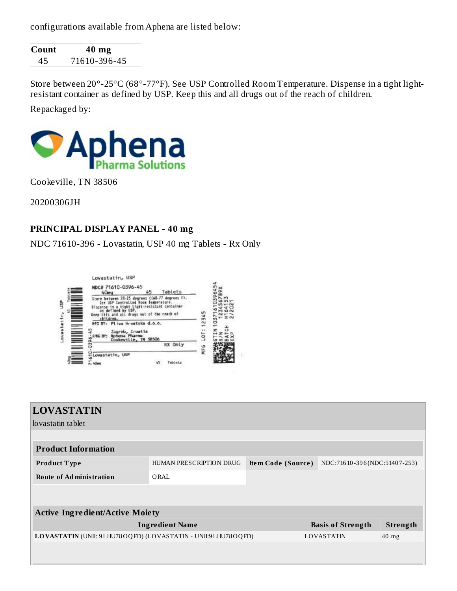configurations available from Aphena are listed below:

| Count | 40 mg        |
|-------|--------------|
| 45    | 71610-396-45 |

Store between 20°-25°C (68°-77°F). See USP Controlled Room Temperature. Dispense in a tight lightresistant container as defined by USP. Keep this and all drugs out of the reach of children. Repackaged by:



Cookeville, TN 38506

20200306JH

#### **PRINCIPAL DISPLAY PANEL - 40 mg**

NDC 71610-396 - Lovastatin, USP 40 mg Tablets - Rx Only



| <b>LOVASTATIN</b>                                            |                         |                    |                          |                                |
|--------------------------------------------------------------|-------------------------|--------------------|--------------------------|--------------------------------|
| Hovastatin tablet                                            |                         |                    |                          |                                |
|                                                              |                         |                    |                          |                                |
| <b>Product Information</b>                                   |                         |                    |                          |                                |
| <b>Product Type</b>                                          | HUMAN PRESCRIPTION DRUG | Item Code (Source) |                          | NDC:716 10-396 (NDC:51407-253) |
| <b>Route of Administration</b>                               | ORAL                    |                    |                          |                                |
|                                                              |                         |                    |                          |                                |
| <b>Active Ingredient/Active Moiety</b>                       |                         |                    |                          |                                |
|                                                              | <b>Ingredient Name</b>  |                    | <b>Basis of Strength</b> | Strength                       |
| LOVASTATIN (UNII: 9LHU78OQFD) (LOVASTATIN - UNII:9LHU78OQFD) |                         |                    | <b>LOVASTATIN</b>        | $40$ mg                        |
|                                                              |                         |                    |                          |                                |
|                                                              |                         |                    |                          |                                |